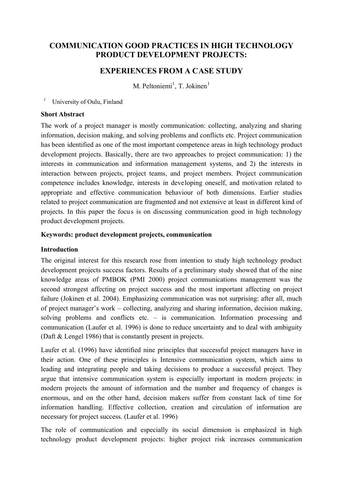# **COMMUNICATION GOOD PRACTICES IN HIGH TECHNOLOGY PRODUCT DEVELOPMENT PROJECTS:**

## **EXPERIENCES FROM A CASE STUDY**

M. Peltoniemi<sup>1</sup>, T. Jokinen<sup>1</sup>

 $\mathbf{1}$ University of Oulu, Finland

#### **Short Abstract**

The work of a project manager is mostly communication: collecting, analyzing and sharing information, decision making, and solving problems and conflicts etc. Project communication has been identified as one of the most important competence areas in high technology product development projects. Basically, there are two approaches to project communication: 1) the interests in communication and information management systems, and 2) the interests in interaction between projects, project teams, and project members. Project communication competence includes knowledge, interests in developing oneself, and motivation related to appropriate and effective communication behaviour of both dimensions. Earlier studies related to project communication are fragmented and not extensive at least in different kind of projects. In this paper the focus is on discussing communication good in high technology product development projects.

#### Keywords: product development projects, communication

#### **Introduction**

The original interest for this research rose from intention to study high technology product development projects success factors. Results of a preliminary study showed that of the nine knowledge areas of PMBOK (PMI 2000) project communications management was the second strongest affecting on project success and the most important affecting on project failure (Jokinen et al. 2004). Emphasizing communication was not surprising: after all, much of project manager's work – collecting, analyzing and sharing information, decision making, solving problems and conflicts etc.  $-$  is communication. Information processing and communication (Laufer et al. 1996) is done to reduce uncertainty and to deal with ambiguity (Daft  $&$  Lengel 1986) that is constantly present in projects.

Laufer et al. (1996) have identified nine principles that successful project managers have in their action. One of these principles is Intensive communication system, which aims to leading and integrating people and taking decisions to produce a successful project. They argue that intensive communication system is especially important in modern projects: in modern projects the amount of information and the number and frequency of changes is enormous, and on the other hand, decision makers suffer from constant lack of time for information handling. Effective collection, creation and circulation of information are necessary for project success. (Laufer et al. 1996)

The role of communication and especially its social dimension is emphasized in high technology product development projects: higher project risk increases communication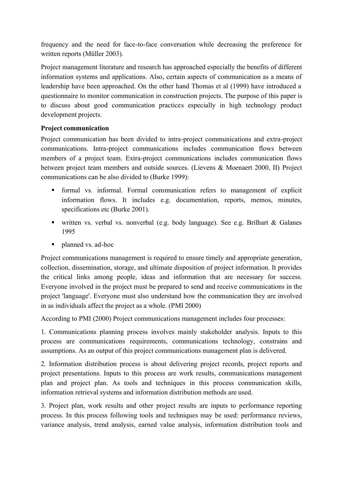frequency and the need for face-to-face conversation while decreasing the preference for written reports (Müller 2003).

Project management literature and research has approached especially the benefits of different information systems and applications. Also, certain aspects of communication as a means of leadership have been approached. On the other hand Thomas et al (1999) have introduced a questionnaire to monitor communication in construction projects. The purpose of this paper is to discuss about good communication practices especially in high technology product development projects.

## **Project communication**

Project communication has been divided to intra-project communications and extra-project communications. Intra-project communications includes communication flows between members of a project team. Extra-project communications includes communication flows between project team members and outside sources. (Lievens & Moenaert 2000, II) Project communications can be also divided to (Burke 1999):

- formal vs. informal. Formal communication refers to management of explicit information flows. It includes e.g. documentation, reports, memos, minutes, specifications etc (Burke 2001).
- written vs. verbal vs. nonverbal (e.g. body language). See e.g. Brilhart & Galanes 1995
- planned vs. ad-hoc

Project communications management is required to ensure timely and appropriate generation, collection, dissemination, storage, and ultimate disposition of project information. It provides the critical links among people, ideas and information that are necessary for success. Everyone involved in the project must be prepared to send and receive communications in the project 'language'. Everyone must also understand how the communication they are involved in as individuals affect the project as a whole. (PMI 2000)

According to PMI (2000) Project communications management includes four processes:

1. Communications planning process involves mainly stakeholder analysis. Inputs to this process are communications requirements, communications technology, constrains and assumptions. As an output of this project communications management plan is delivered.

2. Information distribution process is about delivering project records, project reports and project presentations. Inputs to this process are work results, communications management plan and project plan. As tools and techniques in this process communication skills, information retrieval systems and information distribution methods are used.

3. Project plan, work results and other project results are inputs to performance reporting process. In this process following tools and techniques may be used: performance reviews, variance analysis, trend analysis, earned value analysis, information distribution tools and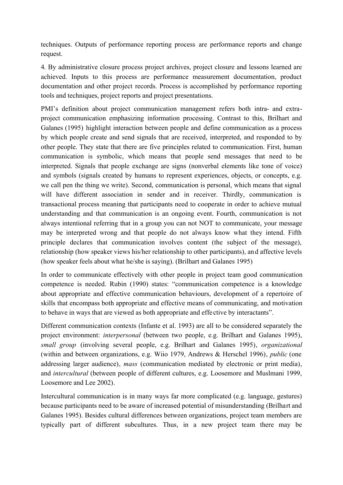techniques. Outputs of performance reporting process are performance reports and change request.

4. By administrative closure process project archives, project closure and lessons learned are achieved. Inputs to this process are performance measurement documentation, product documentation and other project records. Process is accomplished by performance reporting tools and techniques, project reports and project presentations.

PMI's definition about project communication management refers both intra- and extraproject communication emphasizing information processing. Contrast to this, Brilhart and Galanes (1995) highlight interaction between people and define communication as a process by which people create and send signals that are received, interpreted, and responded to by other people. They state that there are five principles related to communication. First, human communication is symbolic, which means that people send messages that need to be interpreted. Signals that people exchange are signs (nonverbal elements like tone of voice) and symbols (signals created by humans to represent experiences, objects, or concepts, e.g. we call pen the thing we write). Second, communication is personal, which means that signal will have different association in sender and in receiver. Thirdly, communication is transactional process meaning that participants need to cooperate in order to achieve mutual understanding and that communication is an ongoing event. Fourth, communication is not always intentional referring that in a group you can not NOT to communicate, your message may be interpreted wrong and that people do not always know what they intend. Fifth principle declares that communication involves content (the subject of the message). relationship (how speaker views his/her relationship to other participants), and affective levels (how speaker feels about what he/she is saying). (Brilhart and Galanes 1995)

In order to communicate effectively with other people in project team good communication competence is needed. Rubin (1990) states: "communication competence is a knowledge about appropriate and effective communication behaviours, development of a repertoire of skills that encompass both appropriate and effective means of communicating, and motivation to behave in ways that are viewed as both appropriate and effective by interactants".

Different communication contexts (Infante et al. 1993) are all to be considered separately the project environment: *interpersonal* (between two people, e.g. Brilhart and Galanes 1995), small group (involving several people, e.g. Brilhart and Galanes 1995), organizational (within and between organizations, e.g. Wiio 1979, Andrews & Herschel 1996), *public* (one addressing larger audience), *mass* (communication mediated by electronic or print media), and *intercultural* (between people of different cultures, e.g. Loosemore and Muslmani 1999, Loosemore and Lee 2002).

Intercultural communication is in many ways far more complicated (e.g. language, gestures) because participants need to be aware of increased potential of misunderstanding (Brilhart and Galanes 1995). Besides cultural differences between organizations, project team members are typically part of different subcultures. Thus, in a new project team there may be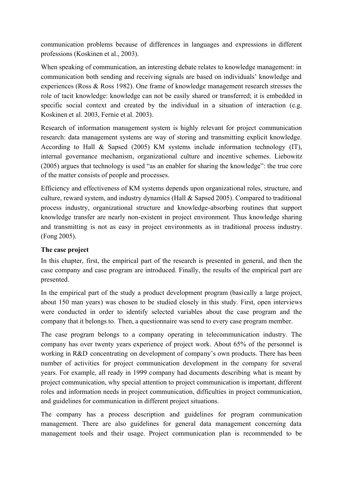communication problems because of differences in languages and expressions in different professions (Koskinen et al., 2003).

When speaking of communication, an interesting debate relates to knowledge management: in communication both sending and receiving signals are based on individuals' knowledge and experiences (Ross & Ross 1982). One frame of knowledge management research stresses the role of tacit knowledge: knowledge can not be easily shared or transferred; it is embedded in specific social context and created by the individual in a situation of interaction (e.g. Koskinen et al. 2003, Fernie et al. 2003).

Research of information management system is highly relevant for project communication research: data management systems are way of storing and transmitting explicit knowledge. According to Hall  $\&$  Sapsed (2005) KM systems include information technology (IT). internal governance mechanism, organizational culture and incentive schemes. Liebowitz (2005) argues that technology is used "as an enabler for sharing the knowledge": the true core of the matter consists of people and processes.

Efficiency and effectiveness of KM systems depends upon organizational roles, structure, and culture, reward system, and industry dynamics (Hall & Sapsed 2005). Compared to traditional process industry, organizational structure and knowledge-absorbing routines that support knowledge transfer are nearly non-existent in project environment. Thus knowledge sharing and transmitting is not as easy in project environments as in traditional process industry. (Fong 2005).

## The case project

In this chapter, first, the empirical part of the research is presented in general, and then the case company and case program are introduced. Finally, the results of the empirical part are presented.

In the empirical part of the study a product development program (basically a large project, about 150 man years) was chosen to be studied closely in this study. First, open interviews were conducted in order to identify selected variables about the case program and the company that it belongs to. Then, a questionnaire was send to every case program member.

The case program belongs to a company operating in telecommunication industry. The company has over twenty years experience of project work. About 65% of the personnel is working in R&D concentrating on development of company's own products. There has been number of activities for project communication development in the company for several years. For example, all ready in 1999 company had documents describing what is meant by project communication, why special attention to project communication is important, different roles and information needs in project communication, difficulties in project communication, and guidelines for communication in different project situations.

The company has a process description and guidelines for program communication management. There are also guidelines for general data management concerning data management tools and their usage. Project communication plan is recommended to be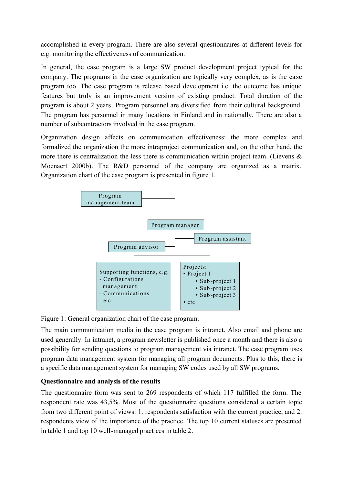accomplished in every program. There are also several questionnaires at different levels for e.g. monitoring the effectiveness of communication.

In general, the case program is a large SW product development project typical for the company. The programs in the case organization are typically very complex, as is the case program too. The case program is release based development i.e. the outcome has unique features but truly is an improvement version of existing product. Total duration of the program is about 2 years. Program personnel are diversified from their cultural background. The program has personnel in many locations in Finland and in nationally. There are also a number of subcontractors involved in the case program.

Organization design affects on communication effectiveness: the more complex and formalized the organization the more intraproject communication and, on the other hand, the more there is centralization the less there is communication within project team. (Lievens  $\&$ Moenaert 2000b). The R&D personnel of the company are organized as a matrix. Organization chart of the case program is presented in figure 1.



Figure 1: General organization chart of the case program.

The main communication media in the case program is intranet. Also email and phone are used generally. In intranet, a program newsletter is published once a month and there is also a possibility for sending questions to program management via intranet. The case program uses program data management system for managing all program documents. Plus to this, there is a specific data management system for managing SW codes used by all SW programs.

# Questionnaire and analysis of the results

The questionnaire form was sent to 269 respondents of which 117 fulfilled the form. The respondent rate was 43,5%. Most of the questionnaire questions considered a certain topic from two different point of views: 1. respondents satisfaction with the current practice, and 2. respondents view of the importance of the practice. The top 10 current statuses are presented in table 1 and top 10 well-managed practices in table 2.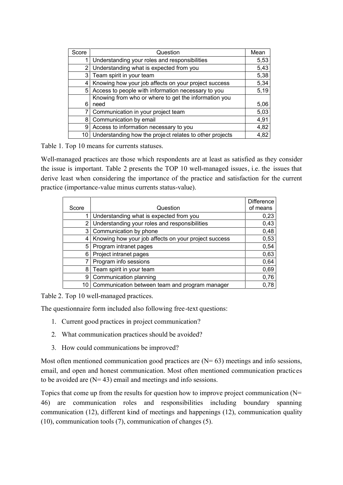| Score | Question                                                 | Mean |
|-------|----------------------------------------------------------|------|
| 1     | Understanding your roles and responsibilities            | 5,53 |
| 2     | Understanding what is expected from you                  | 5,43 |
| 3     | Team spirit in your team                                 | 5,38 |
|       | 4   Knowing how your job affects on your project success | 5,34 |
|       | 5 Access to people with information necessary to you     | 5,19 |
|       | Knowing from who or where to get the information you     |      |
| 6     | need                                                     | 5,06 |
|       | Communication in your project team                       | 5,03 |
| 8     | Communication by email                                   | 4,91 |
| 9     | Access to information necessary to you                   | 4,82 |
| 10    | Understanding how the project relates to other projects  | 4,82 |

Table 1. Top 10 means for currents statuses.

Well-managed practices are those which respondents are at least as satisfied as they consider the issue is important. Table 2 presents the TOP 10 well-managed issues, i.e. the issues that derive least when considering the importance of the practice and satisfaction for the current practice (importance-value minus currents status-value).

| Score | Question                                             | <b>Difference</b><br>of means |
|-------|------------------------------------------------------|-------------------------------|
|       | Understanding what is expected from you              | 0,23                          |
| 2     | Understanding your roles and responsibilities        | 0,43                          |
| 3     | Communication by phone                               | 0,48                          |
| 4     | Knowing how your job affects on your project success | 0,53                          |
| 5     | Program intranet pages                               | 0,54                          |
| 6     | Project intranet pages                               | 0,63                          |
|       | Program info sessions                                | 0,64                          |
| 8     | Team spirit in your team                             | 0,69                          |
| 9     | Communication planning                               | 0,76                          |
| 10    | Communication between team and program manager       | 0.78                          |

Table 2. Top 10 well-managed practices.

The questionnaire form included also following free-text questions:

- 1. Current good practices in project communication?
- 2. What communication practices should be avoided?
- 3. How could communications be improved?

Most often mentioned communication good practices are  $(N=63)$  meetings and info sessions, email, and open and honest communication. Most often mentioned communication practices to be avoided are  $(N=43)$  email and meetings and info sessions.

Topics that come up from the results for question how to improve project communication  $(N=$ 46) are communication roles and responsibilities including boundary spanning communication (12), different kind of meetings and happenings (12), communication quality  $(10)$ , communication tools  $(7)$ , communication of changes  $(5)$ .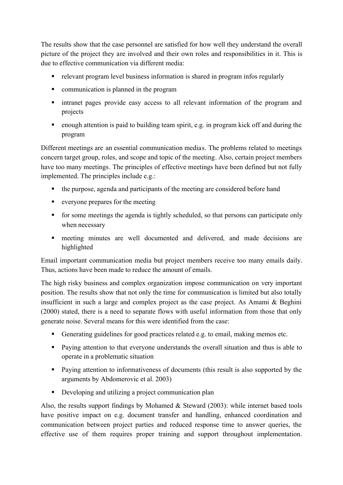The results show that the case personnel are satisfied for how well they understand the overall picture of the project they are involved and their own roles and responsibilities in it. This is due to effective communication via different media-

- relevant program level business information is shared in program infos regularly
- communication is planned in the program
- intranet pages provide easy access to all relevant information of the program and projects
- enough attention is paid to building team spirit, e.g. in program kick off and during the program

Different meetings are an essential communication medias. The problems related to meetings concern target group, roles, and scope and topic of the meeting. Also, certain project members have too many meetings. The principles of effective meetings have been defined but not fully implemented. The principles include e.g.:

- the purpose, agenda and participants of the meeting are considered before hand
- everyone prepares for the meeting
- for some meetings the agenda is tightly scheduled, so that persons can participate only when necessary
- meeting minutes are well documented and delivered, and made decisions are highlighted

Email important communication media but project members receive too many emails daily. Thus, actions have been made to reduce the amount of emails.

The high risky business and complex organization impose communication on very important position. The results show that not only the time for communication is limited but also totally insufficient in such a large and complex project as the case project. As Amami & Beghini (2000) stated, there is a need to separate flows with useful information from those that only generate noise. Several means for this were identified from the case:

- Generating guidelines for good practices related e.g. to email, making memos etc.
- Paying attention to that everyone understands the overall situation and thus is able to operate in a problematic situation
- Paying attention to informativeness of documents (this result is also supported by the arguments by Abdomerovic et al. 2003)
- Developing and utilizing a project communication plan

Also, the results support findings by Mohamed & Steward  $(2003)$ : while internet based tools have positive impact on e.g. document transfer and handling, enhanced coordination and communication between project parties and reduced response time to answer queries, the effective use of them requires proper training and support throughout implementation.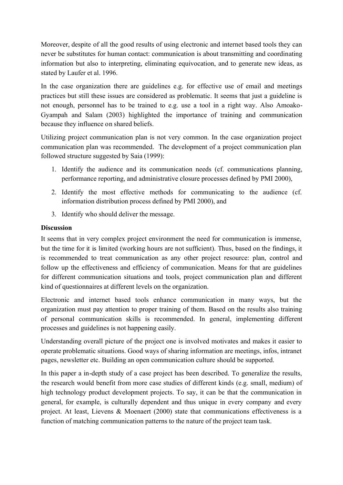Moreover, despite of all the good results of using electronic and internet based tools they can never be substitutes for human contact: communication is about transmitting and coordinating information but also to interpreting, eliminating equivocation, and to generate new ideas, as stated by Laufer et al. 1996.

In the case organization there are guidelines e.g. for effective use of email and meetings practices but still these issues are considered as problematic. It seems that just a guideline is not enough, personnel has to be trained to e.g. use a tool in a right way. Also Amoako-Gyampah and Salam (2003) highlighted the importance of training and communication because they influence on shared beliefs.

Utilizing project communication plan is not very common. In the case organization project communication plan was recommended. The development of a project communication plan followed structure suggested by Saia (1999):

- 1. Identify the audience and its communication needs (cf. communications planning, performance reporting, and administrative closure processes defined by PMI 2000),
- 2. Identify the most effective methods for communicating to the audience (cf. information distribution process defined by PMI 2000), and
- 3. Identify who should deliver the message.

### **Discussion**

It seems that in very complex project environment the need for communication is immense, but the time for it is limited (working hours are not sufficient). Thus, based on the findings, it is recommended to treat communication as any other project resource: plan, control and follow up the effectiveness and efficiency of communication. Means for that are guidelines for different communication situations and tools, project communication plan and different kind of questionnaires at different levels on the organization.

Electronic and internet based tools enhance communication in many ways, but the organization must pay attention to proper training of them. Based on the results also training of personal communication skills is recommended. In general, implementing different processes and guidelines is not happening easily.

Understanding overall picture of the project one is involved motivates and makes it easier to operate problematic situations. Good ways of sharing information are meetings, infos, intranet pages, newsletter etc. Building an open communication culture should be supported.

In this paper a in-depth study of a case project has been described. To generalize the results, the research would benefit from more case studies of different kinds (e.g. small, medium) of high technology product development projects. To say, it can be that the communication in general, for example, is culturally dependent and thus unique in every company and every project. At least, Lievens & Moenaert (2000) state that communications effectiveness is a function of matching communication patterns to the nature of the project team task.